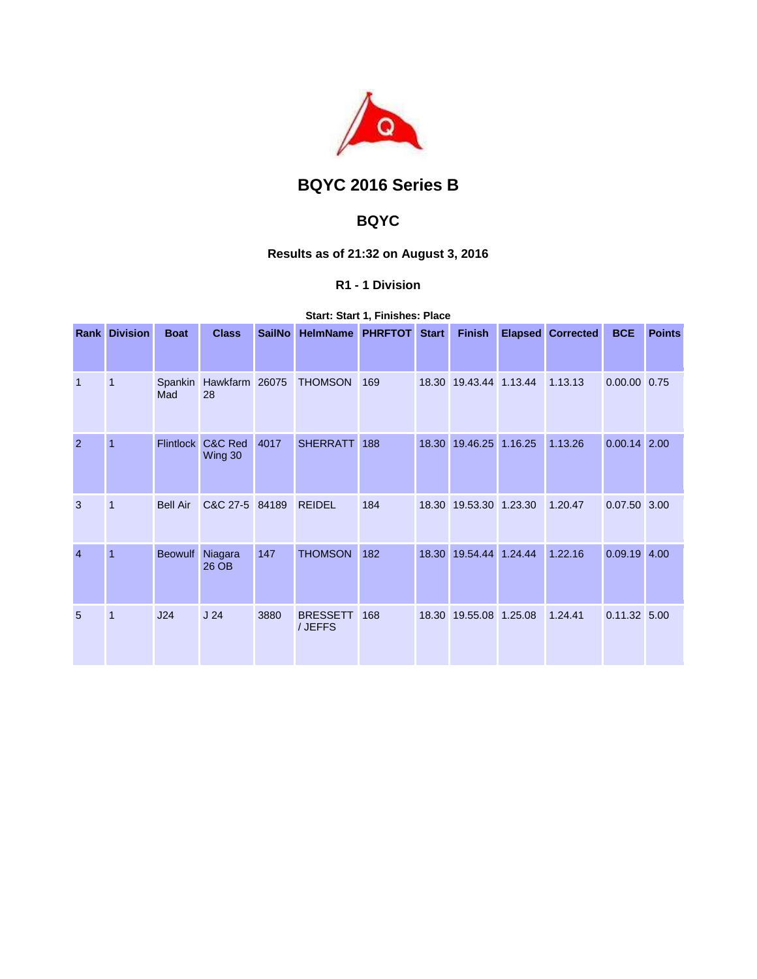

# **BQYC 2016 Series B**

## **BQYC**

## **Results as of 21:32 on August 3, 2016**

## **R1 - 1 Division**

|                | <b>Rank Division</b> | <b>Boat</b>      | <b>Class</b>         | <b>SailNo</b> | HelmName PHRFTOT Start     |     |       | <b>Finish</b>          |         | <b>Elapsed Corrected</b> | <b>BCE</b>     | <b>Points</b> |
|----------------|----------------------|------------------|----------------------|---------------|----------------------------|-----|-------|------------------------|---------|--------------------------|----------------|---------------|
|                |                      |                  |                      |               |                            |     |       |                        |         |                          |                |               |
| $\mathbf{1}$   | -1                   | Spankin<br>Mad   | Hawkfarm 26075<br>28 |               | <b>THOMSON</b>             | 169 | 18.30 | 19.43.44 1.13.44       |         | 1.13.13                  | 0.00.00 0.75   |               |
| 2              | 1                    | <b>Flintlock</b> | C&C Red<br>Wing 30   | 4017          | <b>SHERRATT</b>            | 188 | 18.30 | 19.46.25               | 1.16.25 | 1.13.26                  | $0.00.14$ 2.00 |               |
| 3              | $\overline{1}$       | <b>Bell Air</b>  | C&C 27-5 84189       |               | <b>REIDEL</b>              | 184 |       | 18.30 19.53.30 1.23.30 |         | 1.20.47                  | 0.07.50 3.00   |               |
| $\overline{4}$ | $\overline{1}$       | <b>Beowulf</b>   | Niagara<br>26 OB     | 147           | <b>THOMSON</b>             | 182 | 18.30 | 19.54.44               | 1.24.44 | 1.22.16                  | $0.09.19$ 4.00 |               |
| 5              | $\overline{1}$       | J24              | J <sub>24</sub>      | 3880          | <b>BRESSETT</b><br>/ JEFFS | 168 | 18.30 | 19.55.08 1.25.08       |         | 1.24.41                  | $0.11.32$ 5.00 |               |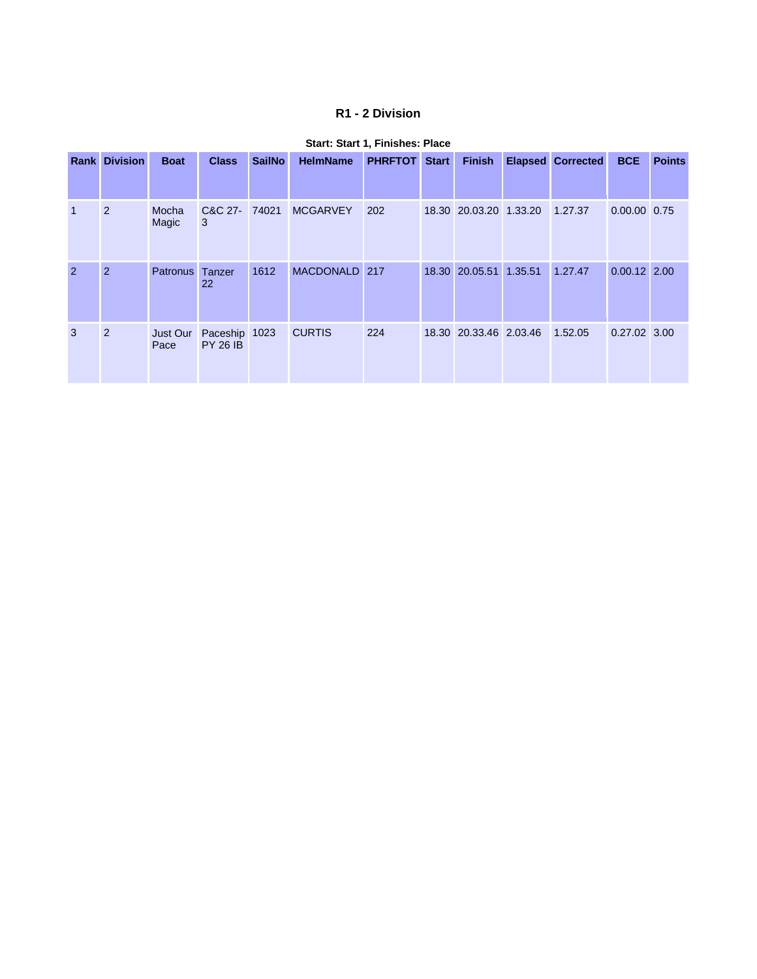### **R1 - 2 Division**

|                | <b>Rank Division</b> | <b>Boat</b>      | <b>Class</b>                     | <b>SailNo</b> | <b>HelmName</b> | <b>PHRFTOT</b> Start | <b>Finish</b>          | <b>Elapsed Corrected</b> | <b>BCE</b>     | <b>Points</b> |
|----------------|----------------------|------------------|----------------------------------|---------------|-----------------|----------------------|------------------------|--------------------------|----------------|---------------|
|                | 2                    | Mocha<br>Magic   | C&C 27- 74021<br>3               |               | <b>MCGARVEY</b> | 202                  | 18.30 20.03.20 1.33.20 | 1.27.37                  | 0.00.00 0.75   |               |
| $\overline{2}$ | 2                    | <b>Patronus</b>  | Tanzer<br>22                     | 1612          | MACDONALD 217   |                      | 18.30 20.05.51 1.35.51 | 1.27.47                  | $0.00.12$ 2.00 |               |
| 3              | 2                    | Just Our<br>Pace | Paceship 1023<br><b>PY 26 IB</b> |               | <b>CURTIS</b>   | 224                  | 18.30 20.33.46 2.03.46 | 1.52.05                  | 0.27.02 3.00   |               |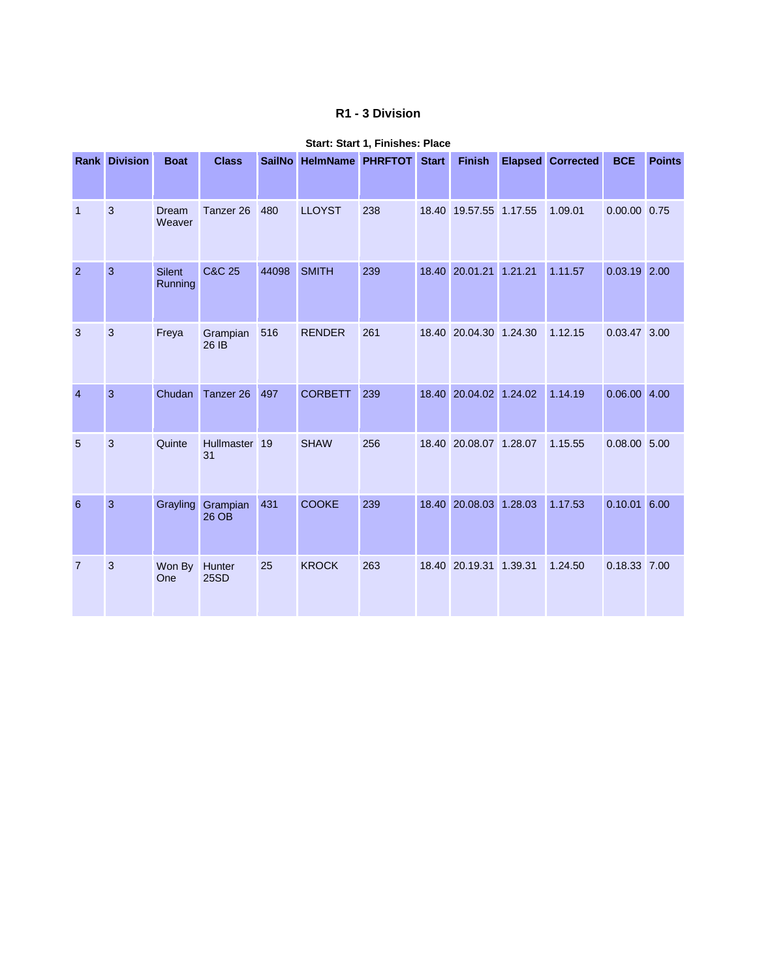### **R1 - 3 Division**

|                 | <b>Rank Division</b> | <b>Boat</b>              | <b>Class</b>         | <b>SailNo</b> | <b>HelmName</b> | <b>PHRFTOT</b> | <b>Start</b> | <b>Finish</b>          |         | <b>Elapsed Corrected</b> | <b>BCE</b>     | <b>Points</b> |
|-----------------|----------------------|--------------------------|----------------------|---------------|-----------------|----------------|--------------|------------------------|---------|--------------------------|----------------|---------------|
| $\overline{1}$  | 3                    | Dream<br>Weaver          | Tanzer <sub>26</sub> | 480           | <b>LLOYST</b>   | 238            |              | 18.40 19.57.55 1.17.55 |         | 1.09.01                  | 0.00.00 0.75   |               |
| $\overline{2}$  | $\mathbf{3}$         | <b>Silent</b><br>Running | <b>C&amp;C 25</b>    | 44098         | <b>SMITH</b>    | 239            | 18.40        | 20.01.21 1.21.21       |         | 1.11.57                  | $0.03.19$ 2.00 |               |
| 3               | 3                    | Freya                    | Grampian<br>26 IB    | 516           | <b>RENDER</b>   | 261            |              | 18.40 20.04.30 1.24.30 |         | 1.12.15                  | 0.03.47 3.00   |               |
| $\overline{4}$  | 3                    | Chudan                   | Tanzer <sub>26</sub> | 497           | <b>CORBETT</b>  | 239            | 18.40        | 20.04.02 1.24.02       |         | 1.14.19                  | $0.06.00$ 4.00 |               |
| $5\overline{5}$ | 3                    | Quinte                   | Hullmaster 19<br>31  |               | <b>SHAW</b>     | 256            |              | 18.40 20.08.07 1.28.07 |         | 1.15.55                  | $0.08.00$ 5.00 |               |
| 6               | 3                    | Grayling                 | Grampian<br>26 OB    | 431           | <b>COOKE</b>    | 239            | 18.40        | 20.08.03               | 1.28.03 | 1.17.53                  | $0.10.01$ 6.00 |               |
| $\overline{7}$  | 3                    | Won By<br>One            | Hunter<br>25SD       | 25            | <b>KROCK</b>    | 263            | 18.40        | 20.19.31 1.39.31       |         | 1.24.50                  | 0.18.33 7.00   |               |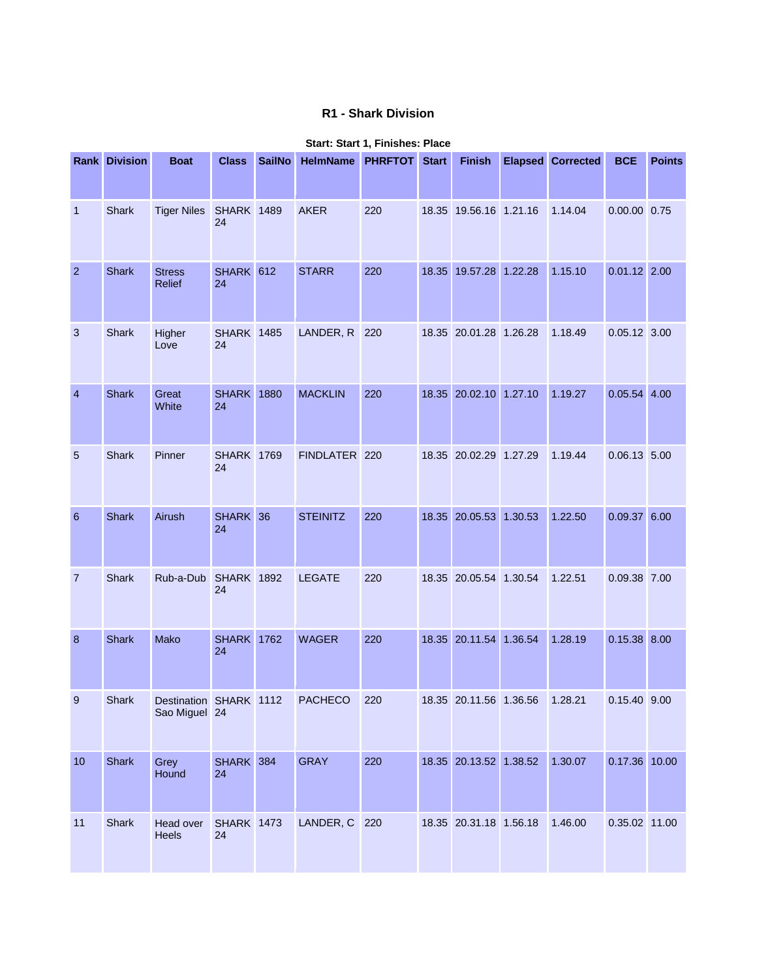## **R1 - Shark Division**

|                 | <b>Rank Division</b> | <b>Boat</b>                             | <b>Class</b>            | <b>SailNo</b> | <b>HelmName</b> | <b>PHRFTOT</b> | <b>Start</b> | <b>Finish</b>          | <b>Elapsed Corrected</b> | <b>BCE</b>     | <b>Points</b> |
|-----------------|----------------------|-----------------------------------------|-------------------------|---------------|-----------------|----------------|--------------|------------------------|--------------------------|----------------|---------------|
| 1               | <b>Shark</b>         | <b>Tiger Niles</b>                      | <b>SHARK 1489</b><br>24 |               | <b>AKER</b>     | 220            |              | 18.35 19.56.16 1.21.16 | 1.14.04                  | 0.00.00 0.75   |               |
| $\overline{2}$  | <b>Shark</b>         | <b>Stress</b><br><b>Relief</b>          | SHARK 612<br>24         |               | <b>STARR</b>    | 220            |              | 18.35 19.57.28 1.22.28 | 1.15.10                  | $0.01.12$ 2.00 |               |
| 3               | Shark                | Higher<br>Love                          | <b>SHARK 1485</b><br>24 |               | LANDER, R       | 220            |              | 18.35 20.01.28 1.26.28 | 1.18.49                  | 0.05.12 3.00   |               |
| $\overline{4}$  | <b>Shark</b>         | Great<br>White                          | <b>SHARK 1880</b><br>24 |               | <b>MACKLIN</b>  | 220            |              | 18.35 20.02.10 1.27.10 | 1.19.27                  | $0.05.54$ 4.00 |               |
| 5               | Shark                | Pinner                                  | <b>SHARK 1769</b><br>24 |               | FINDLATER 220   |                |              | 18.35 20.02.29 1.27.29 | 1.19.44                  | $0.06.13$ 5.00 |               |
| $6\phantom{1}6$ | <b>Shark</b>         | Airush                                  | SHARK 36<br>24          |               | <b>STEINITZ</b> | 220            |              | 18.35 20.05.53 1.30.53 | 1.22.50                  | $0.09.37$ 6.00 |               |
| $\overline{7}$  | <b>Shark</b>         | Rub-a-Dub                               | <b>SHARK 1892</b><br>24 |               | <b>LEGATE</b>   | 220            |              | 18.35 20.05.54 1.30.54 | 1.22.51                  | 0.09.38 7.00   |               |
| 8               | <b>Shark</b>         | Mako                                    | <b>SHARK</b> 1762<br>24 |               | <b>WAGER</b>    | 220            |              | 18.35 20.11.54 1.36.54 | 1.28.19                  | 0.15.38 8.00   |               |
| 9               | Shark                | Destination SHARK 1112<br>Sao Miguel 24 |                         |               | <b>PACHECO</b>  | 220            |              | 18.35 20.11.56 1.36.56 | 1.28.21                  | 0.15.40 9.00   |               |
| $10$            | <b>Shark</b>         | Grey<br>Hound                           | SHARK 384<br>24         |               | <b>GRAY</b>     | 220            |              | 18.35 20.13.52 1.38.52 | 1.30.07                  | 0.17.36 10.00  |               |
| 11              | Shark                | Head over<br>Heels                      | <b>SHARK 1473</b><br>24 |               | LANDER, C 220   |                |              | 18.35 20.31.18 1.56.18 | 1.46.00                  | 0.35.02 11.00  |               |